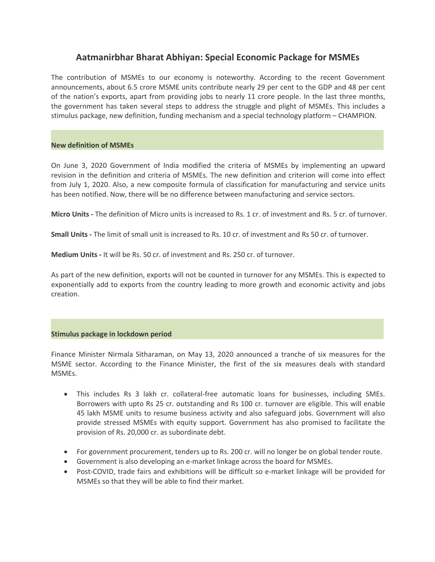# **Aatmanirbhar Bharat Abhiyan: Special Economic Package for MSMEs**

The contribution of MSMEs to our economy is noteworthy. According to the recent Government announcements, about 6.5 crore MSME units contribute nearly 29 per cent to the GDP and 48 per cent of the nation's exports, apart from providing jobs to nearly 11 crore people. In the last three months, the government has taken several steps to address the struggle and plight of MSMEs. This includes a stimulus package, new definition, funding mechanism and a special technology platform – CHAMPION.

# **New definition of MSMEs**

On June 3, 2020 Government of India modified the criteria of MSMEs by implementing an upward revision in the definition and criteria of MSMEs. The new definition and criterion will come into effect from July 1, 2020. Also, a new composite formula of classification for manufacturing and service units has been notified. Now, there will be no difference between manufacturing and service sectors.

**Micro Units -** The definition of Micro units is increased to Rs. 1 cr. of investment and Rs. 5 cr. of turnover.

**Small Units -** The limit of small unit is increased to Rs. 10 cr. of investment and Rs 50 cr. of turnover.

**Medium Units -** It will be Rs. 50 cr. of investment and Rs. 250 cr. of turnover.

As part of the new definition, exports will not be counted in turnover for any MSMEs. This is expected to exponentially add to exports from the country leading to more growth and economic activity and jobs creation.

### **Stimulus package in lockdown period**

Finance Minister Nirmala Sitharaman, on May 13, 2020 announced atranche of six measures for the MSME sector. According to the Finance Minister, the first of the six measures deals with standard MSMEs.

- This includes Rs 3 lakh cr. collateral-free automatic loans for businesses, including SMEs. Borrowers with upto Rs 25 cr. outstanding and Rs 100 cr. turnover are eligible. This will enable 45 lakh MSME units to resume business activity and also safeguard jobs. Government will also provide stressed MSMEs with equity support.Government has also promised to facilitate the provision of Rs. 20,000 cr. as subordinate debt.
- For government procurement, tenders up to Rs. 200 cr. will no longer be on global tender route.
- Government is also developing an e-market linkage across the board for MSMEs.
- Post-COVID, trade fairs and exhibitions will be difficult so e-market linkage will be provided for MSMEs so that they will be able to find their market.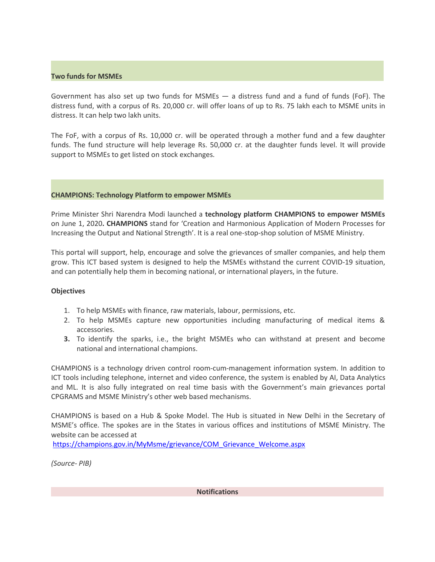# **Two funds for MSMEs**

Government has also set up two funds for MSMEs  $-$  a distress fund and a fund of funds (FoF). The distress fund, with a corpus of Rs. 20,000 cr. will offer loans of up to Rs. 75 lakh each to MSME units in distress. It can help two lakh units.

The FoF, with a corpus of Rs. 10,000 cr. will be operated through a mother fund and a few daughter funds. The fund structure will help leverage Rs. 50,000 cr. at the daughter funds level. It will provide support to MSMEs to get listed on stock exchanges.

# **CHAMPIONS: Technology Platform to empower MSMEs**

Prime Minister Shri Narendra Modi launched a **technology platform CHAMPIONS to empower MSMEs** on June 1, 2020**. CHAMPIONS** stand for 'Creation and Harmonious Application of Modern Processes for Increasing the Output and National Strength'. It is a real one-stop-shop solution of MSME Ministry.

This portal will support, help, encourage and solve the grievances of smaller companies, and help them grow. This ICT based system is designed to help the MSMEs withstand the current COVID-19 situation, and can potentially help them in becoming national, or international players, in the future.

### **Objectives**

- 1. To help MSMEs with finance, raw materials, labour, permissions, etc.
- 2. To help MSMEs capture new opportunities including manufacturing of medical items & accessories.
- **3.** To identify the sparks, i.e., the bright MSMEs who can withstand at present and become national and international champions.

CHAMPIONS is a technology driven control room-cum-management information system. In addition to ICT tools including telephone, internet and video conference, the system is enabled by AI, Data Analytics and ML. It is also fully integrated on real time basis with the Government's main grievances portal CPGRAMS and MSME Ministry's other web based mechanisms.

CHAMPIONS is based on a Hub & Spoke Model. The Hub is situated in New Delhi in the Secretary of MSME's office. The spokes are in the States in various offices and institutions of MSME Ministry. The website can be accessed at

[https://champions.gov.in/MyMsme/grievance/COM\\_Grievance\\_Welcome.aspx](https://champions.gov.in/MyMsme/grievance/COM_Grievance_Welcome.aspx)

*(Source- PIB)*

**Notifications**